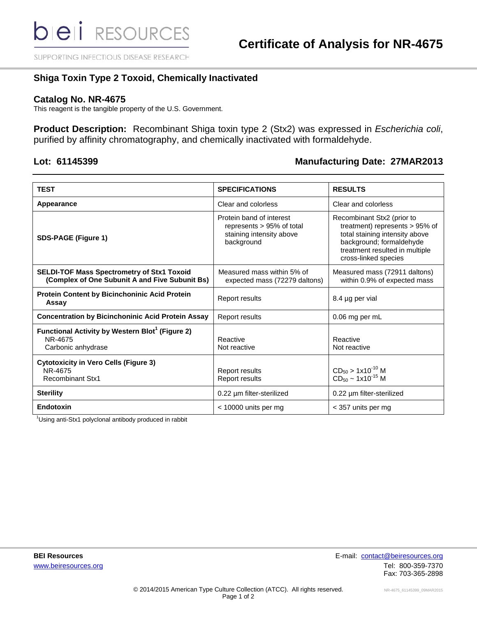SUPPORTING INFECTIOUS DISEASE RESEARCH

## **Shiga Toxin Type 2 Toxoid, Chemically Inactivated**

## **Catalog No. NR-4675**

This reagent is the tangible property of the U.S. Government.

**Product Description:** Recombinant Shiga toxin type 2 (Stx2) was expressed in *Escherichia coli*, purified by affinity chromatography, and chemically inactivated with formaldehyde.

## **Lot: 61145399 Manufacturing Date: 27MAR2013**

| <b>TEST</b>                                                                                         | <b>SPECIFICATIONS</b>                                                                           | <b>RESULTS</b>                                                                                                                                                                          |
|-----------------------------------------------------------------------------------------------------|-------------------------------------------------------------------------------------------------|-----------------------------------------------------------------------------------------------------------------------------------------------------------------------------------------|
| Appearance                                                                                          | Clear and colorless                                                                             | Clear and colorless                                                                                                                                                                     |
| <b>SDS-PAGE (Figure 1)</b>                                                                          | Protein band of interest<br>represents > 95% of total<br>staining intensity above<br>background | Recombinant Stx2 (prior to<br>treatment) represents $> 95\%$ of<br>total staining intensity above<br>background; formaldehyde<br>treatment resulted in multiple<br>cross-linked species |
| <b>SELDI-TOF Mass Spectrometry of Stx1 Toxoid</b><br>(Complex of One Subunit A and Five Subunit Bs) | Measured mass within 5% of<br>expected mass (72279 daltons)                                     | Measured mass (72911 daltons)<br>within 0.9% of expected mass                                                                                                                           |
| Protein Content by Bicinchoninic Acid Protein<br>Assay                                              | Report results                                                                                  | 8.4 µg per vial                                                                                                                                                                         |
| <b>Concentration by Bicinchoninic Acid Protein Assay</b>                                            | Report results                                                                                  | 0.06 mg per mL                                                                                                                                                                          |
| Functional Activity by Western Blot <sup>1</sup> (Figure 2)<br>NR-4675<br>Carbonic anhydrase        | Reactive<br>Not reactive                                                                        | Reactive<br>Not reactive                                                                                                                                                                |
| <b>Cytotoxicity in Vero Cells (Figure 3)</b><br>NR-4675<br><b>Recombinant Stx1</b>                  | Report results<br>Report results                                                                | $CD_{50}$ > 1x10 <sup>-10</sup> M<br>$CD_{50} \sim 1 \times 10^{-15}$ M                                                                                                                 |
| <b>Sterility</b>                                                                                    | 0.22 µm filter-sterilized                                                                       | 0.22 µm filter-sterilized                                                                                                                                                               |
| Endotoxin                                                                                           | $<$ 10000 units per mg                                                                          | < 357 units per mg                                                                                                                                                                      |

<sup>1</sup>Using anti-Stx1 polyclonal antibody produced in rabbit